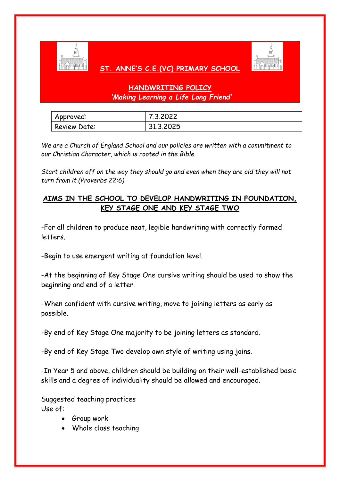

## **ST. ANNE'S C.E.(VC) PRIMARY SCHOOL**



## **HANDWRITING POLICY** *'Making Learning a Life Long Friend'*

| Approved:           | 7.3.2022   |
|---------------------|------------|
| <b>Review Date:</b> | 31, 3.2025 |

*We are a Church of England School and our policies are written with a commitment to our Christian Character, which is rooted in the Bible.* 

*Start children off on the way they should go and even when they are old they will not turn from it (Proverbs 22:6)*

## **AIMS IN THE SCHOOL TO DEVELOP HANDWRITING IN FOUNDATION, KEY STAGE ONE AND KEY STAGE TWO**

-For all children to produce neat, legible handwriting with correctly formed letters.

-Begin to use emergent writing at foundation level.

-At the beginning of Key Stage One cursive writing should be used to show the beginning and end of a letter.

-When confident with cursive writing, move to joining letters as early as possible.

-By end of Key Stage One majority to be joining letters as standard.

-By end of Key Stage Two develop own style of writing using joins.

-In Year 5 and above, children should be building on their well-established basic skills and a degree of individuality should be allowed and encouraged.

Suggested teaching practices Use of:

- Group work
- Whole class teaching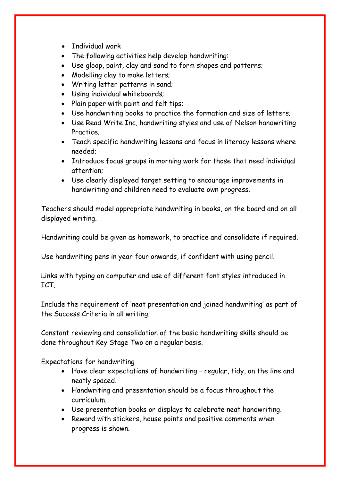- Individual work
- The following activities help develop handwriting:
- Use gloop, paint, clay and sand to form shapes and patterns;
- Modelling clay to make letters;
- Writing letter patterns in sand;
- Using individual whiteboards;
- Plain paper with paint and felt tips;
- Use handwriting books to practice the formation and size of letters;
- Use Read Write Inc, handwriting styles and use of Nelson handwriting Practice.
- Teach specific handwriting lessons and focus in literacy lessons where needed;
- Introduce focus groups in morning work for those that need individual attention;
- Use clearly displayed target setting to encourage improvements in handwriting and children need to evaluate own progress.

Teachers should model appropriate handwriting in books, on the board and on all displayed writing.

Handwriting could be given as homework, to practice and consolidate if required.

Use handwriting pens in year four onwards, if confident with using pencil.

Links with typing on computer and use of different font styles introduced in ICT.

Include the requirement of 'neat presentation and joined handwriting' as part of the Success Criteria in all writing.

Constant reviewing and consolidation of the basic handwriting skills should be done throughout Key Stage Two on a regular basis.

Expectations for handwriting

- Have clear expectations of handwriting regular, tidy, on the line and neatly spaced.
- Handwriting and presentation should be a focus throughout the curriculum.
- Use presentation books or displays to celebrate neat handwriting.
- Reward with stickers, house points and positive comments when progress is shown.